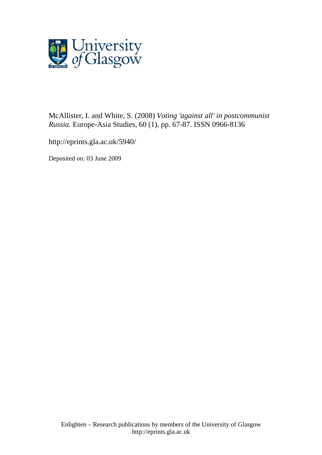

McAllister, I. and White, S. (2008) *Voting 'against all' in postcommunist Russia.* Europe-Asia Studies, 60 (1). pp. 67-87. ISSN 0966-8136

http://eprints.gla.ac.uk/5940/

Deposited on: 03 June 2009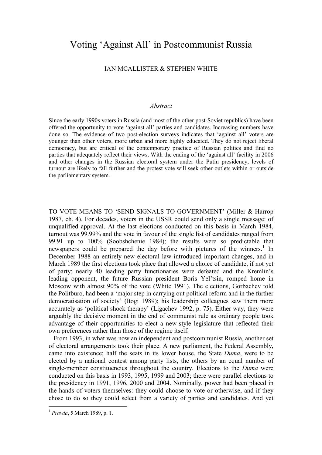# Voting 'Against All' in Postcommunist Russia

# IAN MCALLISTER & STEPHEN WHITE

### *Abstract*

Since the early 1990s voters in Russia (and most of the other post-Soviet republics) have been offered the opportunity to vote 'against all' parties and candidates. Increasing numbers have done so. The evidence of two post-election surveys indicates that 'against all' voters are younger than other voters, more urban and more highly educated. They do not reject liberal democracy, but are critical of the contemporary practice of Russian politics and find no parties that adequately reflect their views. With the ending of the 'against all' facility in 2006 and other changes in the Russian electoral system under the Putin presidency, levels of turnout are likely to fall further and the protest vote will seek other outlets within or outside the parliamentary system.

TO VOTE MEANS TO 'SEND SIGNALS TO GOVERNMENT' (Miller & Harrop 1987, ch. 4). For decades, voters in the USSR could send only a single message: of unqualified approval. At the last elections conducted on this basis in March 1984, turnout was 99.99% and the vote in favour of the single list of candidates ranged from 99.91 up to 100% (Soobshchenie 1984); the results were so predictable that newspapers could be prepared the day before with pictures of the winners.<sup>1</sup> In December 1988 an entirely new electoral law introduced important changes, and in March 1989 the first elections took place that allowed a choice of candidate, if not yet of party; nearly 40 leading party functionaries were defeated and the Kremlin's leading opponent, the future Russian president Boris Yel'tsin, romped home in Moscow with almost 90% of the vote (White 1991). The elections, Gorbachev told the Politburo, had been a 'major step in carrying out political reform and in the further democratisation of society' (Itogi 1989); his leadership colleagues saw them more accurately as 'political shock therapy' (Ligachev 1992, p. 75). Either way, they were arguably the decisive moment in the end of communist rule as ordinary people took advantage of their opportunities to elect a new-style legislature that reflected their own preferences rather than those of the regime itself.

From 1993, in what was now an independent and postcommunist Russia, another set of electoral arrangements took their place. A new parliament, the Federal Assembly, came into existence; half the seats in its lower house, the State *Duma*, were to be elected by a national contest among party lists, the others by an equal number of single-member constituencies throughout the country. Elections to the *Duma* were conducted on this basis in 1993, 1995, 1999 and 2003; there were parallel elections to the presidency in 1991, 1996, 2000 and 2004. Nominally, power had been placed in the hands of voters themselves: they could choose to vote or otherwise, and if they chose to do so they could select from a variety of parties and candidates. And yet

<sup>1</sup> *Pravda*, 5 March 1989, p. 1.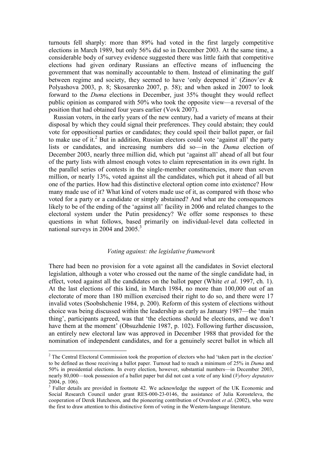turnouts fell sharply: more than 89% had voted in the first largely competitive elections in March 1989, but only 56% did so in December 2003. At the same time, a considerable body of survey evidence suggested there was little faith that competitive elections had given ordinary Russians an effective means of influencing the government that was nominally accountable to them. Instead of eliminating the gulf between regime and society, they seemed to have 'only deepened it' (Zinov'ev  $\&$ Polyashova 2003, p. 8; Skosarenko 2007, p. 58); and when asked in 2007 to look forward to the *Duma* elections in December, just 35% thought they would reflect public opinion as compared with 50% who took the opposite view—a reversal of the position that had obtained four years earlier (Vovk 2007).

Russian voters, in the early years of the new century, had a variety of means at their disposal by which they could signal their preferences. They could abstain; they could vote for oppositional parties or candidates; they could spoil their ballot paper, or fail to make use of it.<sup>2</sup> But in addition, Russian electors could vote 'against all' the party lists or candidates, and increasing numbers did so—in the *Duma* election of December 2003, nearly three million did, which put 'against all' ahead of all but four of the party lists with almost enough votes to claim representation in its own right. In the parallel series of contests in the single-member constituencies, more than seven million, or nearly 13%, voted against all the candidates, which put it ahead of all but one of the parties. How had this distinctive electoral option come into existence? How many made use of it? What kind of voters made use of it, as compared with those who voted for a party or a candidate or simply abstained? And what are the consequences likely to be of the ending of the 'against all' facility in 2006 and related changes to the electoral system under the Putin presidency? We offer some responses to these questions in what follows, based primarily on individual-level data collected in national surveys in 2004 and 2005.<sup>3</sup>

### *Voting against: the legislative framework*

There had been no provision for a vote against all the candidates in Soviet electoral legislation, although a voter who crossed out the name of the single candidate had, in effect, voted against all the candidates on the ballot paper (White *et al*. 1997, ch. 1). At the last elections of this kind, in March 1984, no more than 100,000 out of an electorate of more than 180 million exercised their right to do so, and there were 17 invalid votes (Soobshchenie 1984, p. 200). Reform of this system of elections without choice was being discussed within the leadership as early as January 1987—the 'main thing', participants agreed, was that 'the elections should be elections, and we don't have them at the moment' (Obsuzhdenie 1987, p. 102). Following further discussion, an entirely new electoral law was approved in December 1988 that provided for the nomination of independent candidates, and for a genuinely secret ballot in which all

<sup>&</sup>lt;sup>2</sup> The Central Electoral Commission took the proportion of electors who had 'taken part in the election' to be defined as those receiving a ballot paper. Turnout had to reach a minimum of 25% in *Duma* and 50% in presidential elections. In every election, however, substantial numbers—in December 2003, nearly 80,000—took possession of a ballot paper but did not cast a vote of any kind (*Vybory deputatov* 2004, p. 106).

<sup>&</sup>lt;sup>3</sup> Fuller details are provided in footnote 42. We acknowledge the support of the UK Economic and Social Research Council under grant RES-000-23-0146, the assistance of Julia Korosteleva, the cooperation of Derek Hutcheson, and the pioneering contribution of Oversloot *et al*. (2002), who were the first to draw attention to this distinctive form of voting in the Western-language literature.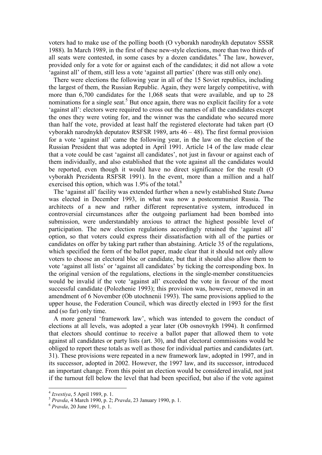voters had to make use of the polling booth (O vyborakh narodnykh deputatov SSSR 1988). In March 1989, in the first of these new-style elections, more than two thirds of all seats were contested, in some cases by a dozen candidates.<sup>4</sup> The law, however, provided only for a vote for or against each of the candidates; it did not allow a vote 'against all' of them, still less a vote 'against all parties' (there was still only one).

There were elections the following year in all of the 15 Soviet republics, including the largest of them, the Russian Republic. Again, they were largely competitive, with more than 6,700 candidates for the 1,068 seats that were available, and up to 28 nominations for a single seat.<sup>5</sup> But once again, there was no explicit facility for a vote 'against all': electors were required to cross out the names of all the candidates except the ones they were voting for, and the winner was the candidate who secured more than half the vote, provided at least half the registered electorate had taken part (O vyborakh narodnykh deputatov RSFSR 1989, arts 46 – 48). The first formal provision for a vote 'against all' came the following year, in the law on the election of the Russian President that was adopted in April 1991. Article 14 of the law made clear that a vote could be cast 'against all candidates', not just in favour or against each of them individually, and also established that the vote against all the candidates would be reported, even though it would have no direct significance for the result (O vyborakh Prezidenta RSFSR 1991). In the event, more than a million and a half exercised this option, which was  $1.9\%$  of the total.<sup>6</sup>

The 'against all' facility was extended further when a newly established State *Duma*  was elected in December 1993, in what was now a postcommunist Russia. The architects of a new and rather different representative system, introduced in controversial circumstances after the outgoing parliament had been bombed into submission, were understandably anxious to attract the highest possible level of participation. The new election regulations accordingly retained the 'against all' option, so that voters could express their dissatisfaction with all of the parties or candidates on offer by taking part rather than abstaining. Article 35 of the regulations, which specified the form of the ballot paper, made clear that it should not only allow voters to choose an electoral bloc or candidate, but that it should also allow them to vote 'against all lists' or 'against all candidates' by ticking the corresponding box. In the original version of the regulations, elections in the single-member constituencies would be invalid if the vote 'against all' exceeded the vote in favour of the most successful candidate (Polozhenie 1993); this provision was, however, removed in an amendment of 6 November (Ob utochnenii 1993). The same provisions applied to the upper house, the Federation Council, which was directly elected in 1993 for the first and (so far) only time.

A more general 'framework law', which was intended to govern the conduct of elections at all levels, was adopted a year later (Ob osnovnykh 1994). It confirmed that electors should continue to receive a ballot paper that allowed them to vote against all candidates or party lists (art. 30), and that electoral commissions would be obliged to report these totals as well as those for individual parties and candidates (art. 31). These provisions were repeated in a new framework law, adopted in 1997, and in its successor, adopted in 2002. However, the 1997 law, and its successor, introduced an important change. From this point an election would be considered invalid, not just if the turnout fell below the level that had been specified, but also if the vote against

<sup>4</sup> *Izvestiya*, <sup>5</sup> April 1989, p. 1. 5 *Pravda*, <sup>4</sup> March 1990, p. 2; *Pravda*, 23 January 1990, p. 1. 6 *Pravda*, 20 June 1991, p. 1.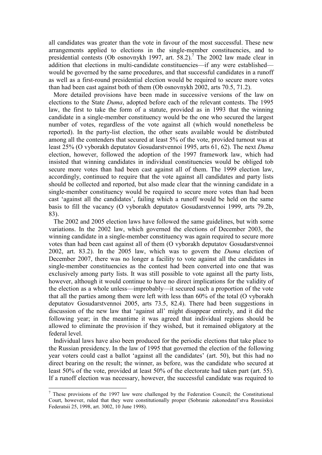all candidates was greater than the vote in favour of the most successful. These new arrangements applied to elections in the single-member constituencies, and to presidential contests (Ob osnovnykh 1997, art.  $58.2$ ).<sup>7</sup> The 2002 law made clear in addition that elections in multi-candidate constituencies—if any were established would be governed by the same procedures, and that successful candidates in a runoff as well as a first-round presidential election would be required to secure more votes than had been cast against both of them (Ob osnovnykh 2002, arts 70.5, 71.2).

More detailed provisions have been made in successive versions of the law on elections to the State *Duma*, adopted before each of the relevant contests. The 1995 law, the first to take the form of a statute, provided as in 1993 that the winning candidate in a single-member constituency would be the one who secured the largest number of votes, regardless of the vote against all (which would nonetheless be reported). In the party-list election, the other seats available would be distributed among all the contenders that secured at least 5% of the vote, provided turnout was at least 25% (O vyborakh deputatov Gosudarstvennoi 1995, arts 61, 62). The next *Duma*  election, however, followed the adoption of the 1997 framework law, which had insisted that winning candidates in individual constituencies would be obliged tob secure more votes than had been cast against all of them. The 1999 election law, accordingly, continued to require that the vote against all candidates and party lists should be collected and reported, but also made clear that the winning candidate in a single-member constituency would be required to secure more votes than had been cast 'against all the candidates', failing which a runoff would be held on the same basis to fill the vacancy (O vyborakh deputatov Gosudarstvennoi 1999, arts 79.2b, 83).

The 2002 and 2005 election laws have followed the same guidelines, but with some variations. In the 2002 law, which governed the elections of December 2003, the winning candidate in a single-member constituency was again required to secure more votes than had been cast against all of them (O vyborakh deputatov Gosudarstvennoi 2002, art. 83.2). In the 2005 law, which was to govern the *Duma* election of December 2007, there was no longer a facility to vote against all the candidates in single-member constituencies as the contest had been converted into one that was exclusively among party lists. It was still possible to vote against all the party lists, however, although it would continue to have no direct implications for the validity of the election as a whole unless—improbably—it secured such a proportion of the vote that all the parties among them were left with less than 60% of the total (O vyborakh deputatov Gosudarstvennoi 2005, arts 73.5, 82.4). There had been suggestions in discussion of the new law that 'against all' might disappear entirely, and it did the following year; in the meantime it was agreed that individual regions should be allowed to eliminate the provision if they wished, but it remained obligatory at the federal level.

Individual laws have also been produced for the periodic elections that take place to the Russian presidency. In the law of 1995 that governed the election of the following year voters could cast a ballot 'against all the candidates' (art. 50), but this had no direct bearing on the result; the winner, as before, was the candidate who secured at least 50% of the vote, provided at least 50% of the electorate had taken part (art. 55). If a runoff election was necessary, however, the successful candidate was required to

<sup>7</sup> These provisions of the 1997 law were challenged by the Federation Council; the Constitutional Court, however, ruled that they were constitutionally proper (Sobranie zakonodatel'stva Rossiiskoi Federatsii 25, 1998, art. 3002, 10 June 1998).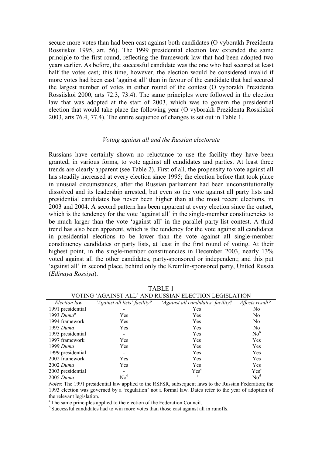secure more votes than had been cast against both candidates (O vyborakh Prezidenta Rossiiskoi 1995, art. 56). The 1999 presidential election law extended the same principle to the first round, reflecting the framework law that had been adopted two years earlier. As before, the successful candidate was the one who had secured at least half the votes cast; this time, however, the election would be considered invalid if more votes had been cast 'against all' than in favour of the candidate that had secured the largest number of votes in either round of the contest (O vyborakh Prezidenta Rossiiskoi 2000, arts 72.3, 73.4). The same principles were followed in the election law that was adopted at the start of 2003, which was to govern the presidential election that would take place the following year (O vyborakh Prezidenta Rossiiskoi 2003, arts 76.4, 77.4). The entire sequence of changes is set out in Table 1.

### *Voting against all and the Russian electorate*

Russians have certainly shown no reluctance to use the facility they have been granted, in various forms, to vote against all candidates and parties. At least three trends are clearly apparent (see Table 2). First of all, the propensity to vote against all has steadily increased at every election since 1995; the election before that took place in unusual circumstances, after the Russian parliament had been unconstitutionally dissolved and its leadership arrested, but even so the vote against all party lists and presidential candidates has never been higher than at the most recent elections, in 2003 and 2004. A second pattern has been apparent at every election since the outset, which is the tendency for the vote 'against all' in the single-member constituencies to be much larger than the vote 'against all' in the parallel party-list contest. A third trend has also been apparent, which is the tendency for the vote against all candidates in presidential elections to be lower than the vote against all single-member constituency candidates or party lists, at least in the first round of voting. At their highest point, in the single-member constituencies in December 2003, nearly 13% voted against all the other candidates, party-sponsored or independent; and this put 'against all' in second place, behind only the Kremlin-sponsored party, United Russia (*Edinaya Rossiya*).

| Election law      | 'Against all lists' facility? | 'Against all candidates' facility? | Affects result?  |
|-------------------|-------------------------------|------------------------------------|------------------|
| 1991 presidential |                               | Yes                                | N <sub>0</sub>   |
| 1993 Duma $a^a$   | Yes                           | Yes                                | N <sub>0</sub>   |
| 1994 framework    | Yes                           | Yes                                | N <sub>0</sub>   |
| 1995 Duma         | Yes                           | Yes                                | N <sub>0</sub>   |
| 1995 presidential |                               | Yes                                | $No^b$           |
| 1997 framework    | Yes                           | Yes                                | Yes              |
| 1999 Duma         | Yes                           | Yes                                | Yes              |
| 1999 presidential |                               | Yes                                | Yes              |
| 2002 framework    | Yes                           | Yes                                | Yes              |
| $2002$ Duma       | Yes                           | Yes                                | Yes              |
| 2003 presidential |                               | Yes <sup>c</sup>                   | Yes <sup>c</sup> |
| 2005 Duma         | No <sup>d</sup>               | $\mathbf{e}$                       | No <sup>d</sup>  |

TABLE 1

VOTING 'AGAINST ALL' AND RUSSIAN ELECTION LEGISLATION

*Notes*: The 1991 presidential law applied to the RSFSR, subsequent laws to the Russian Federation; the 1993 election was governed by a 'regulation' not a formal law. Dates refer to the year of adoption of the relevant legislation.

<sup>a</sup> The same principles applied to the election of the Federation Council.

<sup>b</sup> Successful candidates had to win more votes than those cast against all in runoffs.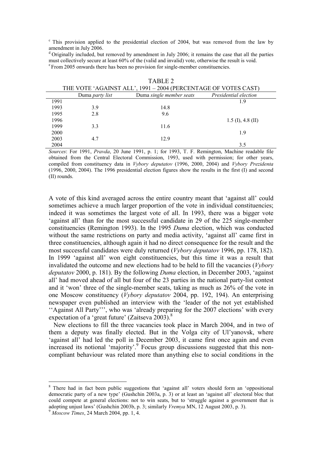$\degree$  This provision applied to the presidential election of 2004, but was removed from the law by amendment in July 2006.

 $\alpha$ <sup>d</sup> Originally included, but removed by amendment in July 2006; it remains the case that all the parties must collectively secure at least 60% of the (valid and invalid) vote, otherwise the result is void. <sup>e</sup> From 2005 onwards there has been no provision for single-member constituencies.

|      |                                                                | TABLE 2                  |                       |  |  |  |
|------|----------------------------------------------------------------|--------------------------|-----------------------|--|--|--|
|      | THE VOTE 'AGAINST ALL', 1991 - 2004 (PERCENTAGE OF VOTES CAST) |                          |                       |  |  |  |
|      | Duma <i>party list</i>                                         | Duma single member seats | Presidential election |  |  |  |
| 1991 |                                                                |                          | 1.9                   |  |  |  |
| 1993 | 3.9                                                            | 14.8                     |                       |  |  |  |
| 1995 | 2.8                                                            | 9.6                      |                       |  |  |  |
| 1996 |                                                                |                          | $1.5$ (I), 4.8 (II)   |  |  |  |
| 1999 | 3.3                                                            | 11.6                     |                       |  |  |  |
| 2000 |                                                                |                          | 1.9                   |  |  |  |
| 2003 | 4.7                                                            | 12.9                     |                       |  |  |  |
| 2004 |                                                                |                          | 3.5                   |  |  |  |

*Sources*: For 1991, *Pravda*, 20 June 1991, p. 1; for 1993, T. F. Remington, Machine readable file obtained from the Central Electoral Commission, 1993, used with permission; for other years, compiled from constituency data in *Vybory deputatov* (1996, 2000, 2004) and *Vybory Prezidenta* (1996, 2000, 2004). The 1996 presidential election figures show the results in the first (I) and second (II) rounds.

A vote of this kind averaged across the entire country meant that 'against all' could sometimes achieve a much larger proportion of the vote in individual constituencies; indeed it was sometimes the largest vote of all. In 1993, there was a bigger vote 'against all' than for the most successful candidate in 29 of the 225 single-member constituencies (Remington 1993). In the 1995 *Duma* election, which was conducted without the same restrictions on party and media activity, 'against all' came first in three constituencies, although again it had no direct consequence for the result and the most successful candidates were duly returned (*Vybory deputatov* 1996, pp. 178, 182). In 1999 'against all' won eight constituencies, but this time it was a result that invalidated the outcome and new elections had to be held to fill the vacancies (*Vybory deputatov* 2000, p. 181). By the following *Duma* election, in December 2003, 'against all' had moved ahead of all but four of the 23 parties in the national party-list contest and it 'won' three of the single-member seats, taking as much as 26% of the vote in one Moscow constituency (*Vybory deputatov* 2004, pp. 192, 194). An enterprising newspaper even published an interview with the 'leader of the not yet established ''Against All Party''', who was 'already preparing for the 2007 elections' with every expectation of a 'great future' (Zaitseva 2003).<sup>8</sup>

New elections to fill the three vacancies took place in March 2004, and in two of them a deputy was finally elected. But in the Volga city of Ul'yanovsk, where 'against all' had led the poll in December 2003, it came first once again and even increased its notional 'majority'.<sup>9</sup> Focus group discussions suggested that this noncompliant behaviour was related more than anything else to social conditions in the

<sup>&</sup>lt;sup>8</sup> There had in fact been public suggestions that 'against all' voters should form an 'oppositional democratic party of a new type' (Gushchin 2003a, p. 3) or at least an 'against all' electoral bloc that could compete at general elections: not to win seats, but to 'struggle against a government that is adopting unjust laws' (Gushchin 2003b, p. 3; similarly *Vremya* MN, 12 August 2003, p. 3). 9 *Moscow Times*, 24 March 2004, pp. 1, 4.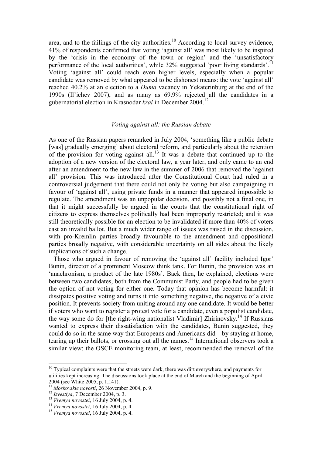area, and to the failings of the city authorities.<sup>10</sup> According to local survey evidence, 41% of respondents confirmed that voting 'against all' was most likely to be inspired by the 'crisis in the economy of the town or region' and the 'unsatisfactory performance of the local authorities', while 32% suggested 'poor living standards'.<sup>11</sup> Voting 'against all' could reach even higher levels, especially when a popular candidate was removed by what appeared to be dishonest means: the vote 'against all' reached 40.2% at an election to a *Duma* vacancy in Yekaterinburg at the end of the 1990s (Il'ichev 2007), and as many as 69.9% rejected all the candidates in a gubernatorial election in Krasnodar *krai* in December 2004.<sup>12</sup>

### *Voting against all: the Russian debate*

As one of the Russian papers remarked in July 2004, 'something like a public debate [was] gradually emerging' about electoral reform, and particularly about the retention of the provision for voting against all.<sup>13</sup> It was a debate that continued up to the adoption of a new version of the electoral law, a year later, and only came to an end after an amendment to the new law in the summer of 2006 that removed the 'against all' provision. This was introduced after the Constitutional Court had ruled in a controversial judgement that there could not only be voting but also campaigning in favour of 'against all', using private funds in a manner that appeared impossible to regulate. The amendment was an unpopular decision, and possibly not a final one, in that it might successfully be argued in the courts that the constitutional right of citizens to express themselves politically had been improperly restricted; and it was still theoretically possible for an election to be invalidated if more than 40% of voters cast an invalid ballot. But a much wider range of issues was raised in the discussion, with pro-Kremlin parties broadly favourable to the amendment and oppositional parties broadly negative, with considerable uncertainty on all sides about the likely implications of such a change.

Those who argued in favour of removing the 'against all' facility included Igor' Bunin, director of a prominent Moscow think tank. For Bunin, the provision was an 'anachronism, a product of the late 1980s'. Back then, he explained, elections were between two candidates, both from the Communist Party, and people had to be given the option of not voting for either one. Today that opinion has become harmful: it dissipates positive voting and turns it into something negative, the negative of a civic position. It prevents society from uniting around any one candidate. It would be better if voters who want to register a protest vote for a candidate, even a populist candidate, the way some do for [the right-wing nationalist Vladimir] Zhirinovsky.<sup>14</sup> If Russians wanted to express their dissatisfaction with the candidates, Bunin suggested, they could do so in the same way that Europeans and Americans did—by staying at home, tearing up their ballots, or crossing out all the names.<sup>15</sup> International observers took a similar view; the OSCE monitoring team, at least, recommended the removal of the

 $10$  Typical complaints were that the streets were dark, there was dirt everywhere, and payments for utilities kept increasing. The discussions took place at the end of March and the beginning of April 2004 (see White 2005, p. 1,141).<br><sup>11</sup> Moskovskie novosti, 26 November 2004, p. 9.

<sup>&</sup>lt;sup>12</sup> *Izvestiya*, 7 December 2004, p. 3.<br><sup>13</sup> *Vremya novostei*, 16 July 2004, p. 4.<br><sup>14</sup> *Vremya novostei*, 16 July 2004, p. 4.<br><sup>15</sup> *Vremya novostei*. 16 July 2004, p. 4.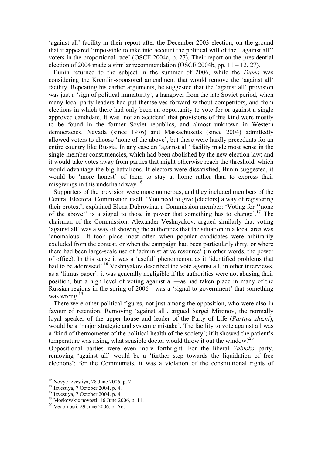'against all' facility in their report after the December 2003 election, on the ground that it appeared 'impossible to take into account the political will of the ''against all'' voters in the proportional race' (OSCE 2004a, p. 27). Their report on the presidential election of 2004 made a similar recommendation (OSCE 2004b, pp.  $11 - 12$ , 27).

Bunin returned to the subject in the summer of 2006, while the *Duma* was considering the Kremlin-sponsored amendment that would remove the 'against all' facility. Repeating his earlier arguments, he suggested that the 'against all' provision was just a 'sign of political immaturity', a hangover from the late Soviet period, when many local party leaders had put themselves forward without competitors, and from elections in which there had only been an opportunity to vote for or against a single approved candidate. It was 'not an accident' that provisions of this kind were mostly to be found in the former Soviet republics, and almost unknown in Western democracies. Nevada (since 1976) and Massachusetts (since 2004) admittedly allowed voters to choose 'none of the above', but these were hardly precedents for an entire country like Russia. In any case an 'against all' facility made most sense in the single-member constituencies, which had been abolished by the new election law; and it would take votes away from parties that might otherwise reach the threshold, which would advantage the big battalions. If electors were dissatisfied, Bunin suggested, it would be 'more honest' of them to stay at home rather than to express their misgivings in this underhand way.<sup>16</sup>

Supporters of the provision were more numerous, and they included members of the Central Electoral Commission itself. 'You need to give [electors] a way of registering their protest', explained Elena Dubrovina, a Commission member: 'Voting for ''none of the above'' is a signal to those in power that something has to change'.17 The chairman of the Commission, Alexander Veshnyakov, argued similarly that voting 'against all' was a way of showing the authorities that the situation in a local area was 'anomalous'. It took place most often when popular candidates were arbitrarily excluded from the contest, or when the campaign had been particularly dirty, or where there had been large-scale use of 'administrative resource' (in other words, the power of office). In this sense it was a 'useful' phenomenon, as it 'identified problems that had to be addressed'.<sup>18</sup> Veshnyakov described the vote against all, in other interviews, as a 'litmus paper': it was generally negligible if the authorities were not abusing their position, but a high level of voting against all—as had taken place in many of the Russian regions in the spring of 2006—was a 'signal to government' that something was wrong.<sup>19</sup>

There were other political figures, not just among the opposition, who were also in favour of retention. Removing 'against all', argued Sergei Mironov, the normally loyal speaker of the upper house and leader of the Party of Life (*Partiya zhizni*), would be a 'major strategic and systemic mistake'. The facility to vote against all was a 'kind of thermometer of the political health of the society'; if it showed the patient's temperature was rising, what sensible doctor would throw it out the window?<sup>20</sup>

Oppositional parties were even more forthright. For the liberal *Yabloko* party, removing 'against all' would be a 'further step towards the liquidation of free elections'; for the Communists, it was a violation of the constitutional rights of

<sup>16</sup> Novye izvestiya, 28 June 2006, p. 2.

<sup>&</sup>lt;sup>17</sup> Izvestiya, 7 October 2004, p. 4.

<sup>18</sup> Izvestiya, 7 October 2004, p. 4.

<sup>&</sup>lt;sup>19</sup> Moskovskie novosti, 16 June 2006, p. 11.

<sup>20</sup> Vedomosti, 29 June 2006, p. A6.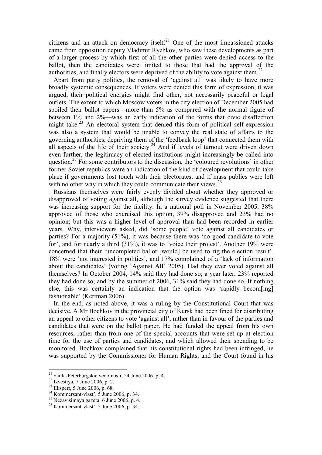citizens and an attack on democracy itself. $2<sup>1</sup>$  One of the most impassioned attacks came from opposition deputy Vladimir Ryzhkov, who saw these developments as part of a larger process by which first of all the other parties were denied access to the ballot, then the candidates were limited to those that had the approval of the authorities, and finally electors were deprived of the ability to vote against them.<sup>22</sup>

Apart from party politics, the removal of 'against all' was likely to have more broadly systemic consequences. If voters were denied this form of expression, it was argued, their political energies might find other, not necessarily peaceful or legal outlets. The extent to which Moscow voters in the city election of December 2005 had spoiled their ballot papers—more than 5% as compared with the normal figure of between 1% and 2%—was an early indication of the forms that civic disaffection might take.<sup>23</sup> An electoral system that denied this form of political self-expression was also a system that would be unable to convey the real state of affairs to the governing authorities, depriving them of the 'feedback loop' that connected them with all aspects of the life of their society.<sup>24</sup> And if levels of turnout were driven down even further, the legitimacy of elected institutions might increasingly be called into question.<sup>25</sup> For some contributors to the discussion, the 'coloured revolutions' in other former Soviet republics were an indication of the kind of development that could take place if governments lost touch with their electorates, and if mass publics were left with no other way in which they could communicate their views.<sup>26</sup>

Russians themselves were fairly evenly divided about whether they approved or disapproved of voting against all, although the survey evidence suggested that there was increasing support for the facility. In a national poll in November 2005, 38% approved of those who exercised this option, 39% disapproved and 23% had no opinion; but this was a higher level of approval than had been recorded in earlier years. Why, interviewers asked, did 'some people' vote against all candidates or parties? For a majority (51%), it was because there was 'no good candidate to vote for', and for nearly a third (31%), it was to 'voice their protest'. Another 19% were concerned that their 'uncompleted ballot [would] be used to rig the election result', 18% were 'not interested in politics', and 17% complained of a 'lack of information about the candidates' (voting 'Against All' 2005). Had they ever voted against all themselves? In October 2004, 14% said they had done so; a year later, 23% reported they had done so; and by the summer of 2006, 31% said they had done so. If nothing else, this was certainly an indication that the option was 'rapidly becom[ing] fashionable' (Kertman 2006).

In the end, as noted above, it was a ruling by the Constitutional Court that was decisive. A Mr Bochkov in the provincial city of Kursk had been fined for distributing an appeal to other citizens to vote 'against all', rather than in favour of the parties and candidates that were on the ballot paper. He had funded the appeal from his own resources, rather than from one of the special accounts that were set up at election time for the use of parties and candidates, and which allowed their spending to be monitored. Bochkov complained that his constitutional rights had been infringed, he was supported by the Commissioner for Human Rights, and the Court found in his

<sup>21</sup> Sankt-Peterburgskie vedomosti, 24 June 2006, p. 4.

 $22$  Izvestiya, 7 June 2006, p. 2.

<sup>23</sup> Ekspert, 5 June 2006, p. 68.

<sup>&</sup>lt;sup>24</sup> Kommersant-vlast', 5 June 2006, p. 34.

<sup>25</sup> Nezavisimaya gazeta, 6 June 2006, p. 4.

 $26$  Kommersant-vlast', 5 June 2006, p. 34.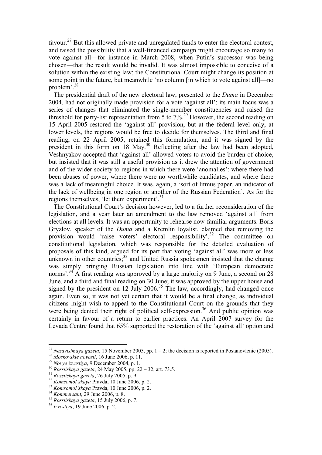favour.<sup>27</sup> But this allowed private and unregulated funds to enter the electoral contest, and raised the possibility that a well-financed campaign might encourage so many to vote against all—for instance in March 2008, when Putin's successor was being chosen—that the result would be invalid. It was almost impossible to conceive of a solution within the existing law; the Constitutional Court might change its position at some point in the future, but meanwhile 'no column [in which to vote against all]—no problem'.<sup>28</sup>

The presidential draft of the new electoral law, presented to the *Duma* in December 2004, had not originally made provision for a vote 'against all'; its main focus was a series of changes that eliminated the single-member constituencies and raised the threshold for party-list representation from 5 to 7%.<sup>29</sup> However, the second reading on 15 April 2005 restored the 'against all' provision, but at the federal level only; at lower levels, the regions would be free to decide for themselves. The third and final reading, on 22 April 2005, retained this formulation, and it was signed by the president in this form on 18 May.<sup>30</sup> Reflecting after the law had been adopted, Veshnyakov accepted that 'against all' allowed voters to avoid the burden of choice, but insisted that it was still a useful provision as it drew the attention of government and of the wider society to regions in which there were 'anomalies': where there had been abuses of power, where there were no worthwhile candidates, and where there was a lack of meaningful choice. It was, again, a 'sort of litmus paper, an indicator of the lack of wellbeing in one region or another of the Russian Federation'. As for the regions themselves, 'let them experiment'.<sup>31</sup>

The Constitutional Court's decision however, led to a further reconsideration of the legislation, and a year later an amendment to the law removed 'against all' from elections at all levels. It was an opportunity to rehearse now-familiar arguments. Boris Gryzlov, speaker of the *Duma* and a Kremlin loyalist, claimed that removing the provision would 'raise voters' electoral responsibility'.<sup>32</sup> The committee on constitutional legislation, which was responsible for the detailed evaluation of proposals of this kind, argued for its part that voting 'against all' was more or less unknown in other countries; $33$  and United Russia spokesmen insisted that the change was simply bringing Russian legislation into line with 'European democratic norms<sup>3,4</sup> A first reading was approved by a large majority on 9 June, a second on 28 June, and a third and final reading on 30 June; it was approved by the upper house and signed by the president on 12 July 2006.<sup>35</sup> The law, accordingly, had changed once again. Even so, it was not yet certain that it would be a final change, as individual citizens might wish to appeal to the Constitutional Court on the grounds that they were being denied their right of political self-expression.<sup>36</sup> And public opinion was certainly in favour of a return to earlier practices. An April 2007 survey for the Levada Centre found that 65% supported the restoration of the 'against all' option and

<sup>&</sup>lt;sup>27</sup> Nezavisimaya gazeta, 15 November 2005, pp. 1 – 2; the decision is reported in Postanovlenie (2005).<br><sup>28</sup> Moskovskie novosti, 16 June 2006, p. 11.<br><sup>29</sup> Novye izvestiya, 9 December 2004, p. 1.<br><sup>30</sup> Rossiiskaya gazeta,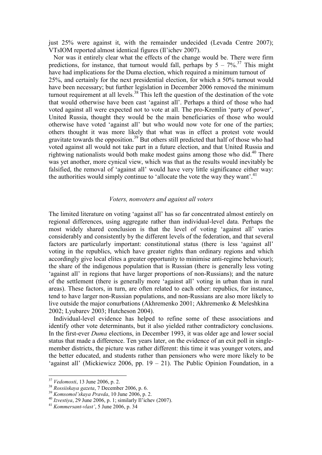just 25% were against it, with the remainder undecided (Levada Centre 2007); VTsIOM reported almost identical figures (Il'ichev 2007).

Nor was it entirely clear what the effects of the change would be. There were firm predictions, for instance, that turnout would fall, perhaps by  $5 - 7\%$ <sup>37</sup>. This might have had implications for the Duma election, which required a minimum turnout of 25%, and certainly for the next presidential election, for which a 50% turnout would have been necessary; but further legislation in December 2006 removed the minimum turnout requirement at all levels.<sup>38</sup> This left the question of the destination of the vote that would otherwise have been cast 'against all'. Perhaps a third of those who had voted against all were expected not to vote at all. The pro-Kremlin 'party of power', United Russia, thought they would be the main beneficiaries of those who would otherwise have voted 'against all' but who would now vote for one of the parties; others thought it was more likely that what was in effect a protest vote would gravitate towards the opposition.<sup>39</sup> But others still predicted that half of those who had voted against all would not take part in a future election, and that United Russia and rightwing nationalists would both make modest gains among those who did.<sup>40</sup> There was yet another, more cynical view, which was that as the results would inevitably be falsified, the removal of 'against all' would have very little significance either way: the authorities would simply continue to 'allocate the vote the way they want'.<sup>41</sup>

# *Voters, nonvoters and against all voters*

The limited literature on voting 'against all' has so far concentrated almost entirely on regional differences, using aggregate rather than individual-level data. Perhaps the most widely shared conclusion is that the level of voting 'against all' varies considerably and consistently by the different levels of the federation, and that several factors are particularly important: constitutional status (there is less 'against all' voting in the republics, which have greater rights than ordinary regions and which accordingly give local elites a greater opportunity to minimise anti-regime behaviour); the share of the indigenous population that is Russian (there is generally less voting 'against all' in regions that have larger proportions of non-Russians); and the nature of the settlement (there is generally more 'against all' voting in urban than in rural areas). These factors, in turn, are often related to each other: republics, for instance, tend to have larger non-Russian populations, and non-Russians are also more likely to live outside the major conurbations (Akhremenko 2001; Akhremenko & Meleshkina 2002; Lyubarev 2003; Hutcheson 2004).

Individual-level evidence has helped to refine some of these associations and identify other vote determinants, but it also yielded rather contradictory conclusions. In the first-ever *Duma* elections, in December 1993, it was older age and lower social status that made a difference. Ten years later, on the evidence of an exit poll in singlemember districts, the picture was rather different: this time it was younger voters, and the better educated, and students rather than pensioners who were more likely to be 'against all' (Mickiewicz 2006, pp.  $19 - 21$ ). The Public Opinion Foundation, in a

<sup>&</sup>lt;sup>37</sup> Vedomosti, 13 June 2006, p. 2.<br><sup>38</sup> Rossiiskaya gazeta, 7 December 2006, p. 6.<br><sup>39</sup> Komsomol'skaya Pravda, 10 June 2006, p. 2.<br><sup>40</sup> Izvestiya, 29 June 2006, p. 1; similarly Il'ichev (2007).<br><sup>41</sup> Kommersant-vlast', 5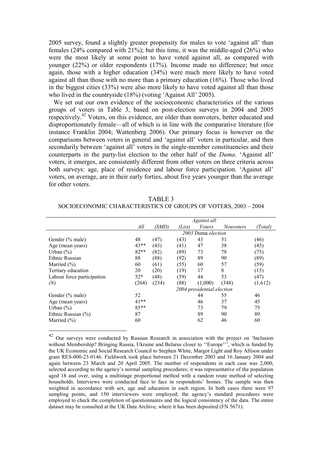2005 survey, found a slightly greater propensity for males to vote 'against all' than females (24% compared with 21%); but this time, it was the middle-aged (26%) who were the most likely at some point to have voted against all, as compared with younger (22%) or older respondents (17%). Income made no difference; but once again, those with a higher education (34%) were much more likely to have voted against all than those with no more than a primary education (16%). Those who lived in the biggest cities (33%) were also more likely to have voted against all than those who lived in the countryside (18%) (voting 'Against All' 2005).

We set out our own evidence of the socioeconomic characteristics of the various groups of voters in Table 3, based on post-election surveys in 2004 and 2005 respectively.<sup>42</sup> Voters, on this evidence, are older than nonvoters, better educated and disproportionately female—all of which is in line with the comparative literature (for instance Franklin 2004; Wattenberg 2006). Our primary focus is however on the comparisons between voters in general and 'against all' voters in particular, and then secondarily between 'against all' voters in the single-member constituencies and their counterparts in the party-list election to the other half of the *Duma*. 'Against all' voters, it emerges, are consistently different from other voters on three criteria across both surveys: age, place of residence and labour force participation. 'Against all' voters, on average, are in their early forties, about five years younger than the average for other voters.

|                            | Against all |       |        |                            |                  |         |
|----------------------------|-------------|-------|--------|----------------------------|------------------|---------|
|                            | All         | (SMD) | (List) | <i>Voters</i>              | <i>Nonvoters</i> | (Total) |
|                            |             |       |        | 2003 Duma election         |                  |         |
| Gender (% male)            | 48          | (47)  | (43)   | 43                         | 51               | (46)    |
| Age (mean years)           | $43**$      | (43)  | (41)   | 47                         | 38               | (45)    |
| Urban $(\%)$               | $82**$      | (82)  | (89)   | 73                         | 78               | (75)    |
| Ethnic Russian             | 88          | (88)  | (92)   | 89                         | 90               | (89)    |
| Married $(\% )$            | 60          | (61)  | (55)   | 60                         | 57               | (59)    |
| Tertiary education         | 20          | (20)  | (19)   | 17                         | 8                | (15)    |
| Labour force participation | $52*$       | (48)  | (59)   | 44                         | 53               | (47)    |
| (N)                        | (264)       | (234) | (88)   | (1,000)                    | (348)            | (1,612) |
|                            |             |       |        | 2004 presidential election |                  |         |
| Gender (% male)            | 52          |       |        | 44                         | 55               | 46      |
| Age (mean years)           | $41**$      |       |        | 46                         | 37               | 45      |
| Urban $(\% )$              | $85**$      |       |        | 73                         | 79               | 75      |
| Ethnic Russian (%)         | 87          |       |        | 89                         | 90               | 89      |
| Married $(\% )$            | 60          |       |        | 62                         | 46               | 60      |

TABLE 3 SOCIOECONOMIC CHARACTERISTICS OF GROUPS OF VOTERS, 2003 – 2004

<sup>&</sup>lt;sup>42</sup> Our surveys were conducted by Russian Research in association with the project on 'Inclusion without Membership? Bringing Russia, Ukraine and Belarus closer to "Europe"', which is funded by the UK Economic and Social Research Council to Stephen White, Margot Light and Roy Allison under grant RES-000-23-0146. Fieldwork took place between 21 December 2003 and 16 January 2004 and again between 23 March and 20 April 2005. The number of respondents in each case was 2,000, selected according to the agency's normal sampling procedures; it was representative of the population aged 18 and over, using a multistage proportional method with a random route method of selecting households. Interviews were conducted face to face in respondents' homes. The sample was then weighted in accordance with sex, age and education in each region. In both cases there were 97 sampling points, and 150 interviewers were employed; the agency's standard procedures were employed to check the completion of questionnaires and the logical consistency of the data. The entire dataset may be consulted at the UK Data Archive, where it has been deposited (FN 5671).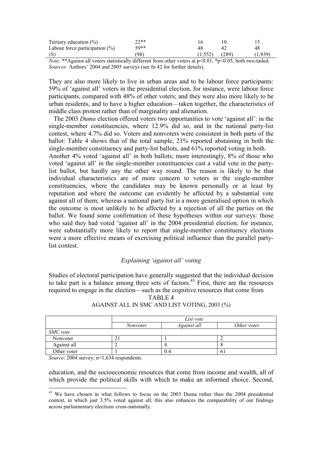| Tertiary education $(\% )$        | つつ** |         |       |       |
|-----------------------------------|------|---------|-------|-------|
| Labour force participation $(\%)$ | 50** |         |       | 48    |
| (N)                               | '98  | (1.552) | (289) | 1,939 |

*Note*: \*\*Against all voters statistically different from other voters at p<0.01, \*p<0.05, both two-tailed. *Sources:* Authors' 2004 and 2005 surveys (see fn 42 for further details).

They are also more likely to live in urban areas and to be labour force participants: 59% of 'against all' voters in the presidential election, for instance, were labour force participants, compared with 48% of other voters; and they were also more likely to be urban residents, and to have a higher education—taken together, the characteristics of middle class protest rather than of marginality and alienation.

The 2003 *Duma* election offered voters two opportunities to vote 'against all': in the single-member constituencies, where 12.9% did so, and in the national party-list contest, where 4.7% did so. Voters and nonvoters were consistent in both parts of the ballot: Table 4 shows that of the total sample, 21% reported abstaining in both the single-member constituency and party-list ballots, and 61% reported voting in both.

Another 4% voted 'against all' in both ballots; more interestingly, 8% of those who voted 'against all' in the single-member constituencies cast a valid vote in the partylist ballot, but hardly any the other way round. The reason is likely to be that individual characteristics are of more concern to voters in the single-member constituencies, where the candidates may be known personally or at least by reputation and where the outcome can evidently be affected by a substantial vote against all of them; whereas a national party list is a more generalised option in which the outcome is most unlikely to be affected by a rejection of all the parties on the ballot. We found some confirmation of these hypotheses within our surveys: those who said they had voted 'against all' in the 2004 presidential election, for instance, were substantially more likely to report that single-member constituency elections were a more effective means of exercising political influence than the parallel partylist contest.

# *Explaining 'against all' voting*

Studies of electoral participation have generally suggested that the individual decision to take part is a balance among three sets of factors.<sup>43</sup> First, there are the resources required to engage in the election—such as the cognitive resources that come from

|                 |                 | List vote   |             |  |  |  |
|-----------------|-----------------|-------------|-------------|--|--|--|
|                 | <i>Nonvoter</i> | Against all | Other voter |  |  |  |
| <i>SMC</i> vote |                 |             |             |  |  |  |
| Nonvoter        | ∠               |             |             |  |  |  |
| Against all     |                 |             |             |  |  |  |
| Other voter     |                 |             | 0 I         |  |  |  |

# TABLE 4 AGAINST ALL IN SMC AND LIST VOTING, 2003 (%)

*Source*: 2004 survey; n=1,634 respondents.

education, and the socioeconomic resources that come from income and wealth, all of which provide the political skills with which to make an informed choice. Second,

<sup>&</sup>lt;sup>43</sup> We have chosen in what follows to focus on the 2003 Duma rather than the 2004 presidential contest, in which just 3.5% voted against all; this also enhances the comparability of our findings across parliamentary elections cross-nationally.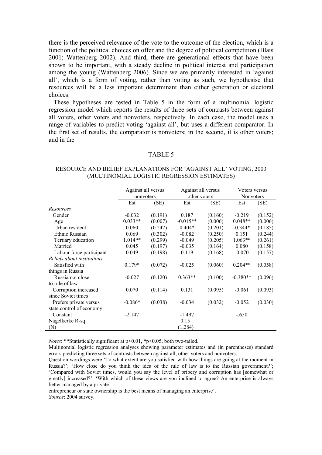there is the perceived relevance of the vote to the outcome of the election, which is a function of the political choices on offer and the degree of political competition (Blais 2001; Wattenberg 2002). And third, there are generational effects that have been shown to be important, with a steady decline in political interest and participation among the young (Wattenberg 2006). Since we are primarily interested in 'against all', which is a form of voting, rather than voting as such, we hypothesise that resources will be a less important determinant than either generation or electoral choices.

These hypotheses are tested in Table 5 in the form of a multinomial logistic regression model which reports the results of three sets of contrasts between against all voters, other voters and nonvoters, respectively. In each case, the model uses a range of variables to predict voting 'against all', but uses a different comparator. In the first set of results, the comparator is nonvoters; in the second, it is other voters; and in the

### TABLE 5

| nonvoters |         | other voters       |         | Voters versus<br>Nonvoters |         |
|-----------|---------|--------------------|---------|----------------------------|---------|
|           |         |                    |         |                            |         |
|           |         |                    |         |                            |         |
| $-0.032$  | (0.191) | 0.187              | (0.160) | $-0.219$                   | (0.152) |
| $0.033**$ | (0.007) | $-0.015**$         | (0.006) | $0.048**$                  | (0.006) |
| 0.060     | (0.242) | $0.404*$           | (0.201) | $-0.344*$                  | (0.185) |
| 0.069     | (0.302) | $-0.082$           | (0.250) | 0.151                      | (0.244) |
| $1.014**$ | (0.299) | $-0.049$           | (0.205) | $1.063**$                  | (0.261) |
| 0.045     | (0.197) | $-0.035$           | (0.164) | 0.080                      | (0.158) |
| 0.049     | (0.198) | 0.119              | (0.168) | $-0.070$                   | (0.157) |
|           |         |                    |         |                            |         |
| $0.179*$  | (0.072) | $-0.025$           | (0.060) | $0.204**$                  | (0.058) |
|           |         |                    |         |                            |         |
| $-0.027$  | (0.120) | $0.363**$          | (0.100) | $-0.380**$                 | (0.096) |
|           |         |                    |         |                            |         |
| 0.070     | (0.114) | 0.131              | (0.095) | $-0.061$                   | (0.093) |
|           |         |                    |         |                            |         |
| $-0.086*$ | (0.038) | $-0.034$           | (0.032) | $-0.052$                   | (0.030) |
|           |         |                    |         |                            |         |
| $-2.147$  |         | $-1.497$           |         | $-.650$                    |         |
|           |         | 0.15               |         |                            |         |
|           |         | (1,284)            |         |                            |         |
|           |         | Against all versus |         | Against all versus         |         |

### RESOURCE AND BELIEF EXPLANATIONS FOR 'AGAINST ALL' VOTING, 2003 (MULTINOMIAL LOGISTIC REGRESSION ESTIMATES)

*Notes*: \*\*Statistically significant at p<0.01, \*p<0.05, both two-tailed.

Multinomial logistic regression analyses showing parameter estimates and (in parentheses) standard errors predicting three sets of contrasts between against all, other voters and nonvoters.

entrepreneur or state ownership is the best means of managing an enterprise'. *Source*: 2004 survey.

Question wordings were 'To what extent are you satisfied with how things are going at the moment in Russia?'; 'How close do you think the idea of the rule of law is to the Russian government?'; 'Compared with Soviet times, would you say the level of bribery and corruption has [somewhat or greatly] increased?'; 'With which of these views are you inclined to agree? An enterprise is always better managed by a private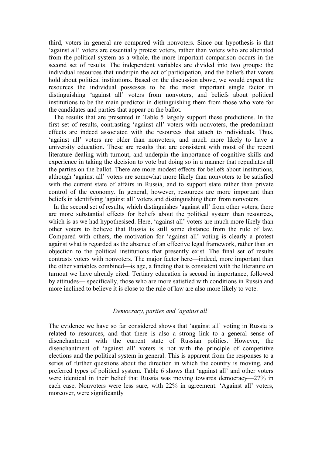third, voters in general are compared with nonvoters. Since our hypothesis is that 'against all' voters are essentially protest voters, rather than voters who are alienated from the political system as a whole, the more important comparison occurs in the second set of results. The independent variables are divided into two groups: the individual resources that underpin the act of participation, and the beliefs that voters hold about political institutions. Based on the discussion above, we would expect the resources the individual possesses to be the most important single factor in distinguishing 'against all' voters from nonvoters, and beliefs about political institutions to be the main predictor in distinguishing them from those who vote for the candidates and parties that appear on the ballot.

The results that are presented in Table 5 largely support these predictions. In the first set of results, contrasting 'against all' voters with nonvoters, the predominant effects are indeed associated with the resources that attach to individuals. Thus, 'against all' voters are older than nonvoters, and much more likely to have a university education. These are results that are consistent with most of the recent literature dealing with turnout, and underpin the importance of cognitive skills and experience in taking the decision to vote but doing so in a manner that repudiates all the parties on the ballot. There are more modest effects for beliefs about institutions, although 'against all' voters are somewhat more likely than nonvoters to be satisfied with the current state of affairs in Russia, and to support state rather than private control of the economy. In general, however, resources are more important than beliefs in identifying 'against all' voters and distinguishing them from nonvoters.

In the second set of results, which distinguishes 'against all' from other voters, there are more substantial effects for beliefs about the political system than resources, which is as we had hypothesised. Here, 'against all' voters are much more likely than other voters to believe that Russia is still some distance from the rule of law. Compared with others, the motivation for 'against all' voting is clearly a protest against what is regarded as the absence of an effective legal framework, rather than an objection to the political institutions that presently exist. The final set of results contrasts voters with nonvoters. The major factor here—indeed, more important than the other variables combined—is age, a finding that is consistent with the literature on turnout we have already cited. Tertiary education is second in importance, followed by attitudes— specifically, those who are more satisfied with conditions in Russia and more inclined to believe it is close to the rule of law are also more likely to vote.

# *Democracy, parties and 'against all'*

The evidence we have so far considered shows that 'against all' voting in Russia is related to resources, and that there is also a strong link to a general sense of disenchantment with the current state of Russian politics. However, the disenchantment of 'against all' voters is not with the principle of competitive elections and the political system in general. This is apparent from the responses to a series of further questions about the direction in which the country is moving, and preferred types of political system. Table 6 shows that 'against all' and other voters were identical in their belief that Russia was moving towards democracy—27% in each case. Nonvoters were less sure, with 22% in agreement. 'Against all' voters, moreover, were significantly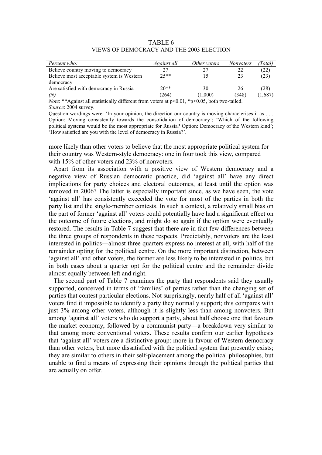| Percent who:                                                            | Against all | Other voters   | <i>Nonvoters</i> | (Total) |
|-------------------------------------------------------------------------|-------------|----------------|------------------|---------|
| Believe country moving to democracy                                     |             |                | 22               | (22)    |
| Believe most acceptable system is Western                               | $25**$      |                | 23               | (23)    |
| democracy                                                               |             |                |                  |         |
| Are satisfied with democracy in Russia                                  | $20**$      | 30             | 26               | (28)    |
| (N)                                                                     | (264)       | (1.000)        | (348)            | (1,687) |
| als als A<br>1.00<br>$11.11$ $13.11$<br>$\mathbf{r}$ .<br>$\sim$ $\sim$ |             | $0.01 + 0.021$ | $\cdot$ 1 1      |         |

TABLE 6 VIEWS OF DEMOCRACY AND THE 2003 ELECTION

*Note*: \*\*Against all statistically different from voters at  $p<0.01$ , \* $p<0.05$ , both two-tailed. *Source*: 2004 survey.

Question wordings were: 'In your opinion, the direction our country is moving characterises it as . . . Option: Moving consistently towards the consolidation of democracy'; 'Which of the following political systems would be the most appropriate for Russia? Option: Democracy of the Western kind'; 'How satisfied are you with the level of democracy in Russia?'.

more likely than other voters to believe that the most appropriate political system for their country was Western-style democracy: one in four took this view, compared with 15% of other voters and 23% of nonvoters.

Apart from its association with a positive view of Western democracy and a negative view of Russian democratic practice, did 'against all' have any direct implications for party choices and electoral outcomes, at least until the option was removed in 2006? The latter is especially important since, as we have seen, the vote 'against all' has consistently exceeded the vote for most of the parties in both the party list and the single-member contests. In such a context, a relatively small bias on the part of former 'against all' voters could potentially have had a significant effect on the outcome of future elections, and might do so again if the option were eventually restored. The results in Table 7 suggest that there are in fact few differences between the three groups of respondents in these respects. Predictably, nonvoters are the least interested in politics—almost three quarters express no interest at all, with half of the remainder opting for the political centre. On the more important distinction, between 'against all' and other voters, the former are less likely to be interested in politics, but in both cases about a quarter opt for the political centre and the remainder divide almost equally between left and right.

The second part of Table 7 examines the party that respondents said they usually supported, conceived in terms of 'families' of parties rather than the changing set of parties that contest particular elections. Not surprisingly, nearly half of all 'against all' voters find it impossible to identify a party they normally support; this compares with just 3% among other voters, although it is slightly less than among nonvoters. But among 'against all' voters who do support a party, about half choose one that favours the market economy, followed by a communist party—a breakdown very similar to that among more conventional voters. These results confirm our earlier hypothesis that 'against all' voters are a distinctive group: more in favour of Western democracy than other voters, but more dissatisfied with the political system that presently exists; they are similar to others in their self-placement among the political philosophies, but unable to find a means of expressing their opinions through the political parties that are actually on offer.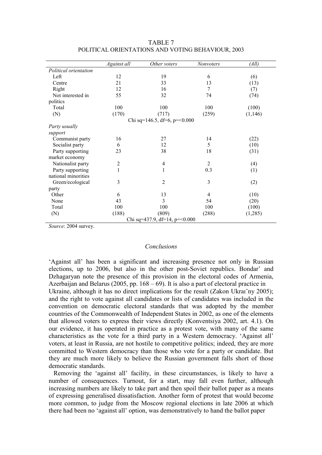|                                   | Against all    | Other voters                    | <b>Nonvoters</b> | (All)    |  |
|-----------------------------------|----------------|---------------------------------|------------------|----------|--|
| Political orientation             |                |                                 |                  |          |  |
| Left                              | 12             | 19                              | 6                | (6)      |  |
| Centre                            | 21             | 33                              | 13               | (13)     |  |
| Right                             | 12             | 16                              | 7                | (7)      |  |
| Not interested in                 | 55             | 32                              | 74               | (74)     |  |
| politics                          |                |                                 |                  |          |  |
| Total                             | 100            | 100                             | 100              | (100)    |  |
| (N)                               | (170)          | (717)                           | (259)            | (1, 146) |  |
|                                   |                | Chi sq=146.5, df=6, p= $<0.000$ |                  |          |  |
| Party usually                     |                |                                 |                  |          |  |
| support                           |                |                                 |                  |          |  |
| Communist party                   | 16             | 27                              | 14               | (22)     |  |
| Socialist party                   | 6              | 12                              | 5                | (10)     |  |
| Party supporting                  | 23             | 38                              | 18               | (31)     |  |
| market economy                    |                |                                 |                  |          |  |
| Nationalist party                 | $\overline{2}$ | 4                               | $\overline{2}$   | (4)      |  |
| Party supporting                  | 1              | $\mathbf{1}$                    | 0.3              | (1)      |  |
| national minorities               |                |                                 |                  |          |  |
| Green/ecological                  | 3              | $\overline{2}$                  | 3                | (2)      |  |
| party                             |                |                                 |                  |          |  |
| Other                             | 6              | 13                              | 4                | (10)     |  |
| None                              | 43             | 3                               | 54               | (20)     |  |
| Total                             | 100            | 100                             | 100              | (100)    |  |
| (N)                               | (188)          | (809)                           | (288)            | (1,285)  |  |
| Chi sq=437.9, df=14, p= $<$ 0.000 |                |                                 |                  |          |  |

TABLE 7 POLITICAL ORIENTATIONS AND VOTING BEHAVIOUR, 2003

*Source*: 2004 survey.

#### *Conclusions*

'Against all' has been a significant and increasing presence not only in Russian elections, up to 2006, but also in the other post-Soviet republics. Bondar' and Dzhagaryan note the presence of this provision in the electoral codes of Armenia, Azerbaijan and Belarus (2005, pp. 168 – 69). It is also a part of electoral practice in Ukraine, although it has no direct implications for the result (Zakon Ukrai"ny 2005); and the right to vote against all candidates or lists of candidates was included in the convention on democratic electoral standards that was adopted by the member countries of the Commonwealth of Independent States in 2002, as one of the elements that allowed voters to express their views directly (Konventsiya 2002, art. 4.1). On our evidence, it has operated in practice as a protest vote, with many of the same characteristics as the vote for a third party in a Western democracy. 'Against all' voters, at least in Russia, are not hostile to competitive politics; indeed, they are more committed to Western democracy than those who vote for a party or candidate. But they are much more likely to believe the Russian government falls short of those democratic standards.

Removing the 'against all' facility, in these circumstances, is likely to have a number of consequences. Turnout, for a start, may fall even further, although increasing numbers are likely to take part and then spoil their ballot paper as a means of expressing generalised dissatisfaction. Another form of protest that would become more common, to judge from the Moscow regional elections in late 2006 at which there had been no 'against all' option, was demonstratively to hand the ballot paper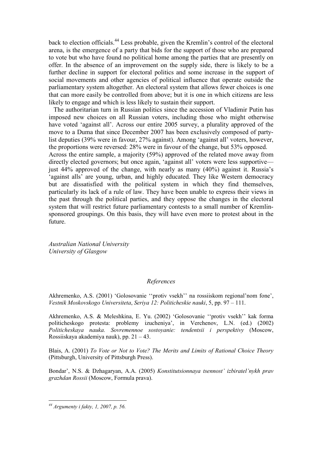back to election officials.44 Less probable, given the Kremlin's control of the electoral arena, is the emergence of a party that bids for the support of those who are prepared to vote but who have found no political home among the parties that are presently on offer. In the absence of an improvement on the supply side, there is likely to be a further decline in support for electoral politics and some increase in the support of social movements and other agencies of political influence that operate outside the parliamentary system altogether. An electoral system that allows fewer choices is one that can more easily be controlled from above; but it is one in which citizens are less likely to engage and which is less likely to sustain their support.

The authoritarian turn in Russian politics since the accession of Vladimir Putin has imposed new choices on all Russian voters, including those who might otherwise have voted 'against all'. Across our entire 2005 survey, a plurality approved of the move to a Duma that since December 2007 has been exclusively composed of partylist deputies (39% were in favour, 27% against). Among 'against all' voters, however, the proportions were reversed: 28% were in favour of the change, but 53% opposed. Across the entire sample, a majority (59%) approved of the related move away from directly elected governors; but once again, 'against all' voters were less supportive just 44% approved of the change, with nearly as many (40%) against it. Russia's 'against alls' are young, urban, and highly educated. They like Western democracy but are dissatisfied with the political system in which they find themselves, particularly its lack of a rule of law. They have been unable to express their views in the past through the political parties, and they oppose the changes in the electoral system that will restrict future parliamentary contests to a small number of Kremlinsponsored groupings. On this basis, they will have even more to protest about in the future.

*Australian National University University of Glasgow* 

# *References*

Akhremenko, A.S. (2001) 'Golosovanie ''protiv vsekh'' na rossiiskom regional'nom fone', *Vestnik Moskovskogo Universiteta*, *Seriya 12: Politicheskie nauki*, 5, pp. 97 – 111.

Akhremenko, A.S. & Meleshkina, E. Yu. (2002) 'Golosovanie ''protiv vsekh'' kak forma politicheskogo protesta: problemy izucheniya', in Verchenov, L.N. (ed.) (2002) *Politicheskaya nauka. Sovremennoe sostoyanie: tendentsii i perspektivy* (Moscow, Rossiiskaya akademiya nauk), pp. 21 – 43.

Blais, A. (2001) *To Vote or Not to Vote? The Merits and Limits of Rational Choice Theory* (Pittsburgh, University of Pittsburgh Press).

Bondar', N.S. & Dzhagaryan, A.A. (2005) *Konstitutsionnaya tsennost' izbiratel'nykh prav grazhdan Rossii* (Moscow, Formula prava).

*<sup>44</sup> Argumenty i fakty, 1, 2007, p. 56.*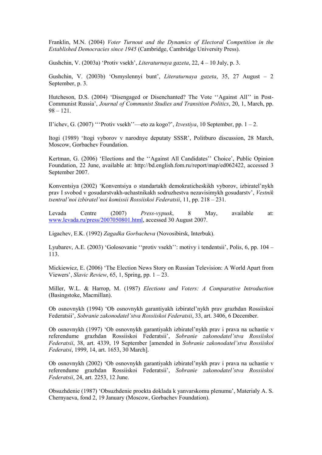Franklin, M.N. (2004) *Voter Turnout and the Dynamics of Electoral Competition in the Established Democracies since 1945* (Cambridge, Cambridge University Press).

Gushchin, V. (2003a) 'Protiv vsekh', *Literaturnaya gazeta*, 22, 4 – 10 July, p. 3.

Gushchin, V. (2003b) 'Osmyslennyi bunt', *Literaturnaya gazeta*, 35, 27 August – 2 September, p. 3.

Hutcheson, D.S. (2004) 'Disengaged or Disenchanted? The Vote ''Against All'' in Post-Communist Russia', *Journal of Communist Studies and Transition Politics*, 20, 1, March, pp.  $98 - 121$ .

Il'ichev, G. (2007) '''Protiv vsekh''—eto za kogo?', *Izvestiya*, 10 September, pp. 1 – 2.

Itogi (1989) 'Itogi vyborov v narodnye deputaty SSSR', Politburo discussion, 28 March, Moscow, Gorbachev Foundation.

Kertman, G. (2006) 'Elections and the ''Against All Candidates'' Choice', Public Opinion Foundation, 22 June, available at: http://bd.english.fom.ru/report/map/ed062422, accessed 3 September 2007.

Konventsiya (2002) 'Konventsiya o standartakh demokraticheskikh vyborov, izbiratel'nykh prav I svobod v gosudarstvakh-uchastnikakh sodruzhestva nezavisimykh gosudarstv', *Vestnik tsentral'noi izbiratel'noi komissii Rossiiskoi Federatsii*, 11, pp. 218 – 231.

Levada Centre (2007) *Press-vypusk*, 8 May, available at: www.levada.ru/press/2007050801.html, accessed 30 August 2007.

Ligachev, E.K. (1992) *Zagadka Gorbacheva* (Novosibirsk, Interbuk).

Lyubarev, A.E. (2003) 'Golosovanie ''protiv vsekh'': motivy i tendentsii', Polis, 6, pp. 104 – 113.

Mickiewicz, E. (2006) 'The Election News Story on Russian Television: A World Apart from Viewers', *Slavic Review*, 65, 1, Spring, pp. 1 – 23.

Miller, W.L. & Harrop, M. (1987) *Elections and Voters: A Comparative Introduction*  (Basingstoke, Macmillan).

Ob osnovnykh (1994) 'Ob osnovnykh garantiyakh izbiratel'nykh prav grazhdan Rossiiskoi Federatsii', *Sobranie zakonodatel'stva Rossiiskoi Federatsii*, 33, art. 3406, 6 December.

Ob osnovnykh (1997) 'Ob osnovnykh garantiyakh izbiratel'nykh prav i prava na uchastie v referendume grazhdan Rossiiskoi Federatsii', *Sobranie zakonodatel'stva Rossiiskoi Federatsii*, 38, art. 4339, 19 September [amended in *Sobranie zakonodatel'stva Rossiiskoi Federatsi*, 1999, 14, art. 1653, 30 March].

Ob osnovnykh (2002) 'Ob osnovnykh garantiyakh izbiratel'nykh prav i prava na uchastie v referendume grazhdan Rossiiskoi Federatsii', *Sobranie zakonodatel'stva Rossiiskoi Federatsii*, 24, art. 2253, 12 June.

Obsuzhdenie (1987) 'Obsuzhdenie proekta doklada k yanvarskomu plenumu', Materialy A. S. Chernyaeva, fond 2, 19 January (Moscow, Gorbachev Foundation).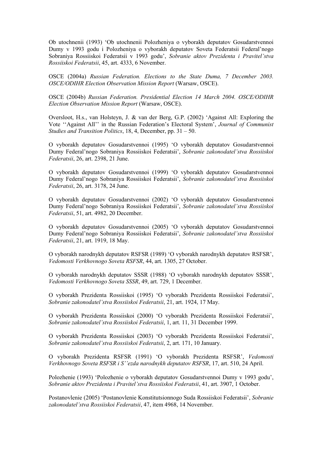Ob utochnenii (1993) 'Ob utochnenii Polozheniya o vyborakh deputatov Gosudarstvennoi Dumy v 1993 godu i Polozheniya o vyborakh deputatov Soveta Federatsii Federal'nogo Sobraniya Rossiiskoi Federatsii v 1993 godu', *Sobranie aktov Prezidenta i Pravitel'stva Rossiiskoi Federatsii*, 45, art. 4333, 6 November.

OSCE (2004a) *Russian Federation. Elections to the State Duma, 7 December 2003. OSCE/ODIHR Election Observation Mission Report* (Warsaw, OSCE).

OSCE (2004b) *Russian Federation. Presidential Election 14 March 2004. OSCE/ODIHR Election Observation Mission Report* (Warsaw, OSCE).

Oversloot, H.s., van Holsteyn, J. & van der Berg, G.P. (2002) 'Against All: Exploring the Vote ''Against All'' in the Russian Federation's Electoral System', *Journal of Communist Studies and Transition Politics*, 18, 4, December, pp. 31 – 50.

O vyborakh deputatov Gosudarstvennoi (1995) 'O vyborakh deputatov Gosudarstvennoi Dumy Federal'nogo Sobraniya Rossiiskoi Federatsii', *Sobranie zakonodatel'stva Rossiiskoi Federatsii*, 26, art. 2398, 21 June.

O vyborakh deputatov Gosudarstvennoi (1999) 'O vyborakh deputatov Gosudarstvennoi Dumy Federal'nogo Sobraniya Rossiiskoi Federatsii', *Sobranie zakonodatel'stva Rossiiskoi Federatsii*, 26, art. 3178, 24 June.

O vyborakh deputatov Gosudarstvennoi (2002) 'O vyborakh deputatov Gosudarstvennoi Dumy Federal'nogo Sobraniya Rossiiskoi Federatsii', *Sobranie zakonodatel'stva Rossiiskoi Federatsii*, 51, art. 4982, 20 December.

O vyborakh deputatov Gosudarstvennoi (2005) 'O vyborakh deputatov Gosudarstvennoi Dumy Federal'nogo Sobraniya Rossiiskoi Federatsii', *Sobranie zakonodatel'stva Rossiiskoi Federatsii*, 21, art. 1919, 18 May.

O vyborakh narodnykh deputatov RSFSR (1989) 'O vyborakh narodnykh deputatov RSFSR', *Vedomosti Verkhovnogo Soveta RSFSR*, 44, art. 1305, 27 October.

O vyborakh narodnykh deputatov SSSR (1988) 'O vyborakh narodnykh deputatov SSSR', *Vedomosti Verkhovnogo Soveta SSSR*, 49, art. 729, 1 December.

O vyborakh Prezidenta Rossiiskoi (1995) 'O vyborakh Prezidenta Rossiiskoi Federatsii', *Sobranie zakonodatel'stva Rossiiskoi Federatsii*, 21, art. 1924, 17 May.

O vyborakh Prezidenta Rossiiskoi (2000) 'O vyborakh Prezidenta Rossiiskoi Federatsii', *Sobranie zakonodatel'stva Rossiiskoi Federatsii*, 1, art. 11, 31 December 1999.

O vyborakh Prezidenta Rossiiskoi (2003) 'O vyborakh Prezidenta Rossiiskoi Federatsii', *Sobranie zakonodatel'stva Rossiiskoi Federatsii*, 2, art. 171, 10 January.

O vyborakh Prezidenta RSFSR (1991) 'O vyborakh Prezidenta RSFSR', *Vedomosti Verkhovnogo Soveta RSFSR i S''ezda narodnykh deputatov RSFSR*, 17, art. 510, 24 April.

Polozhenie (1993) 'Polozhenie o vyborakh deputatov Gosudarstvennoi Dumy v 1993 godu', *Sobranie aktov Prezidenta i Pravitel'stva Rossiiskoi Federatsii*, 41, art. 3907, 1 October.

Postanovlenie (2005) 'Postanovlenie Konstitutsionnogo Suda Rossiiskoi Federatsii', *Sobranie zakonodatel'stva Rossiiskoi Federatsii*, 47, item 4968, 14 November.